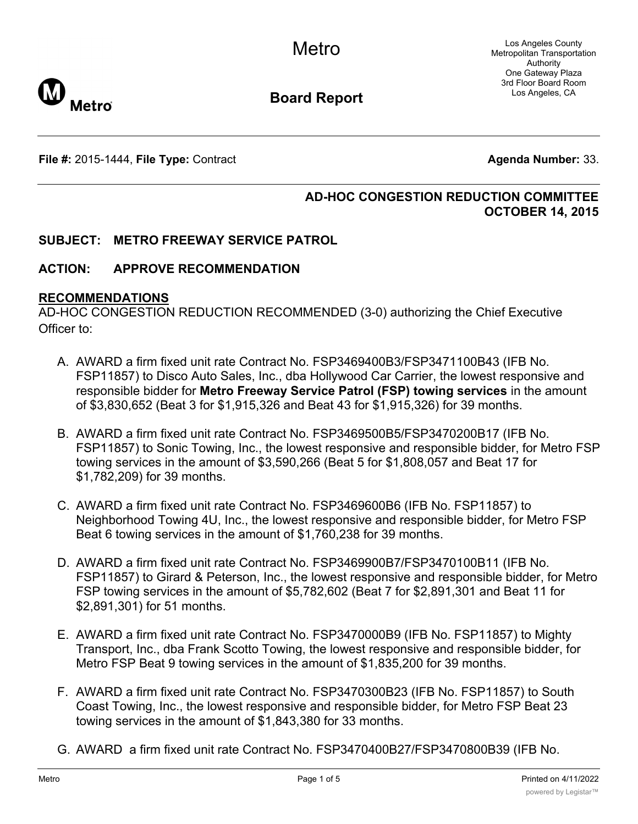Los Angeles County Metropolitan Transportation Authority One Gateway Plaza 3rd Floor Board Room Los Angeles, CA



**Board Report**

**File #:** 2015-1444, File Type: Contract **Agents Agenda Number:** 33.

## **AD-HOC CONGESTION REDUCTION COMMITTEE OCTOBER 14, 2015**

## **SUBJECT: METRO FREEWAY SERVICE PATROL**

## **ACTION: APPROVE RECOMMENDATION**

#### **RECOMMENDATIONS**

AD-HOC CONGESTION REDUCTION RECOMMENDED (3-0) authorizing the Chief Executive Officer to:

- A. AWARD a firm fixed unit rate Contract No. FSP3469400B3/FSP3471100B43 (IFB No. FSP11857) to Disco Auto Sales, Inc., dba Hollywood Car Carrier, the lowest responsive and responsible bidder for **Metro Freeway Service Patrol (FSP) towing services** in the amount of \$3,830,652 (Beat 3 for \$1,915,326 and Beat 43 for \$1,915,326) for 39 months.
- B. AWARD a firm fixed unit rate Contract No. FSP3469500B5/FSP3470200B17 (IFB No. FSP11857) to Sonic Towing, Inc., the lowest responsive and responsible bidder, for Metro FSP towing services in the amount of \$3,590,266 (Beat 5 for \$1,808,057 and Beat 17 for \$1,782,209) for 39 months.
- C. AWARD a firm fixed unit rate Contract No. FSP3469600B6 (IFB No. FSP11857) to Neighborhood Towing 4U, Inc., the lowest responsive and responsible bidder, for Metro FSP Beat 6 towing services in the amount of \$1,760,238 for 39 months.
- D. AWARD a firm fixed unit rate Contract No. FSP3469900B7/FSP3470100B11 (IFB No. FSP11857) to Girard & Peterson, Inc., the lowest responsive and responsible bidder, for Metro FSP towing services in the amount of \$5,782,602 (Beat 7 for \$2,891,301 and Beat 11 for \$2,891,301) for 51 months.
- E. AWARD a firm fixed unit rate Contract No. FSP3470000B9 (IFB No. FSP11857) to Mighty Transport, Inc., dba Frank Scotto Towing, the lowest responsive and responsible bidder, for Metro FSP Beat 9 towing services in the amount of \$1,835,200 for 39 months.
- F. AWARD a firm fixed unit rate Contract No. FSP3470300B23 (IFB No. FSP11857) to South Coast Towing, Inc., the lowest responsive and responsible bidder, for Metro FSP Beat 23 towing services in the amount of \$1,843,380 for 33 months.
- G. AWARD a firm fixed unit rate Contract No. FSP3470400B27/FSP3470800B39 (IFB No.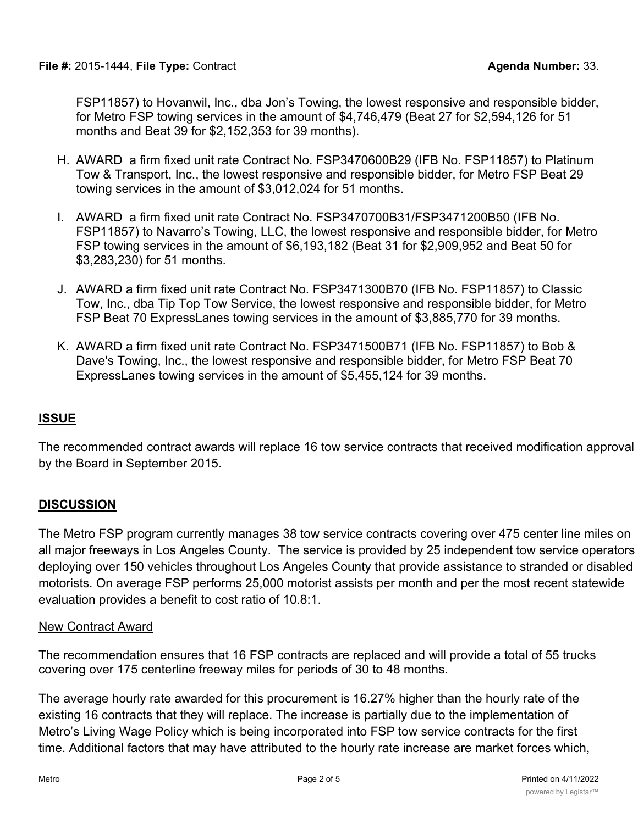FSP11857) to Hovanwil, Inc., dba Jon's Towing, the lowest responsive and responsible bidder, for Metro FSP towing services in the amount of \$4,746,479 (Beat 27 for \$2,594,126 for 51 months and Beat 39 for \$2,152,353 for 39 months).

- H. AWARD a firm fixed unit rate Contract No. FSP3470600B29 (IFB No. FSP11857) to Platinum Tow & Transport, Inc., the lowest responsive and responsible bidder, for Metro FSP Beat 29 towing services in the amount of \$3,012,024 for 51 months.
- I. AWARD a firm fixed unit rate Contract No. FSP3470700B31/FSP3471200B50 (IFB No. FSP11857) to Navarro's Towing, LLC, the lowest responsive and responsible bidder, for Metro FSP towing services in the amount of \$6,193,182 (Beat 31 for \$2,909,952 and Beat 50 for \$3,283,230) for 51 months.
- J. AWARD a firm fixed unit rate Contract No. FSP3471300B70 (IFB No. FSP11857) to Classic Tow, Inc., dba Tip Top Tow Service, the lowest responsive and responsible bidder, for Metro FSP Beat 70 ExpressLanes towing services in the amount of \$3,885,770 for 39 months.
- K. AWARD a firm fixed unit rate Contract No. FSP3471500B71 (IFB No. FSP11857) to Bob & Dave's Towing, Inc., the lowest responsive and responsible bidder, for Metro FSP Beat 70 ExpressLanes towing services in the amount of \$5,455,124 for 39 months.

# **ISSUE**

The recommended contract awards will replace 16 tow service contracts that received modification approval by the Board in September 2015.

# **DISCUSSION**

The Metro FSP program currently manages 38 tow service contracts covering over 475 center line miles on all major freeways in Los Angeles County. The service is provided by 25 independent tow service operators deploying over 150 vehicles throughout Los Angeles County that provide assistance to stranded or disabled motorists. On average FSP performs 25,000 motorist assists per month and per the most recent statewide evaluation provides a benefit to cost ratio of 10.8:1.

## New Contract Award

The recommendation ensures that 16 FSP contracts are replaced and will provide a total of 55 trucks covering over 175 centerline freeway miles for periods of 30 to 48 months.

The average hourly rate awarded for this procurement is 16.27% higher than the hourly rate of the existing 16 contracts that they will replace. The increase is partially due to the implementation of Metro's Living Wage Policy which is being incorporated into FSP tow service contracts for the first time. Additional factors that may have attributed to the hourly rate increase are market forces which,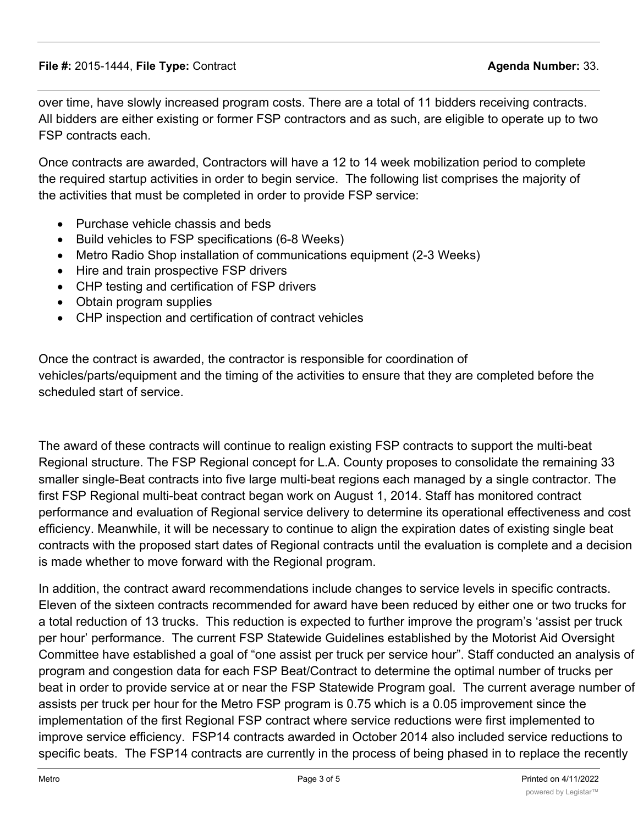over time, have slowly increased program costs. There are a total of 11 bidders receiving contracts. All bidders are either existing or former FSP contractors and as such, are eligible to operate up to two FSP contracts each.

Once contracts are awarded, Contractors will have a 12 to 14 week mobilization period to complete the required startup activities in order to begin service. The following list comprises the majority of the activities that must be completed in order to provide FSP service:

- · Purchase vehicle chassis and beds
- · Build vehicles to FSP specifications (6-8 Weeks)
- · Metro Radio Shop installation of communications equipment (2-3 Weeks)
- · Hire and train prospective FSP drivers
- CHP testing and certification of FSP drivers
- · Obtain program supplies
- · CHP inspection and certification of contract vehicles

Once the contract is awarded, the contractor is responsible for coordination of vehicles/parts/equipment and the timing of the activities to ensure that they are completed before the scheduled start of service.

The award of these contracts will continue to realign existing FSP contracts to support the multi-beat Regional structure. The FSP Regional concept for L.A. County proposes to consolidate the remaining 33 smaller single-Beat contracts into five large multi-beat regions each managed by a single contractor. The first FSP Regional multi-beat contract began work on August 1, 2014. Staff has monitored contract performance and evaluation of Regional service delivery to determine its operational effectiveness and cost efficiency. Meanwhile, it will be necessary to continue to align the expiration dates of existing single beat contracts with the proposed start dates of Regional contracts until the evaluation is complete and a decision is made whether to move forward with the Regional program.

In addition, the contract award recommendations include changes to service levels in specific contracts. Eleven of the sixteen contracts recommended for award have been reduced by either one or two trucks for a total reduction of 13 trucks. This reduction is expected to further improve the program's 'assist per truck per hour' performance. The current FSP Statewide Guidelines established by the Motorist Aid Oversight Committee have established a goal of "one assist per truck per service hour". Staff conducted an analysis of program and congestion data for each FSP Beat/Contract to determine the optimal number of trucks per beat in order to provide service at or near the FSP Statewide Program goal. The current average number of assists per truck per hour for the Metro FSP program is 0.75 which is a 0.05 improvement since the implementation of the first Regional FSP contract where service reductions were first implemented to improve service efficiency. FSP14 contracts awarded in October 2014 also included service reductions to specific beats. The FSP14 contracts are currently in the process of being phased in to replace the recently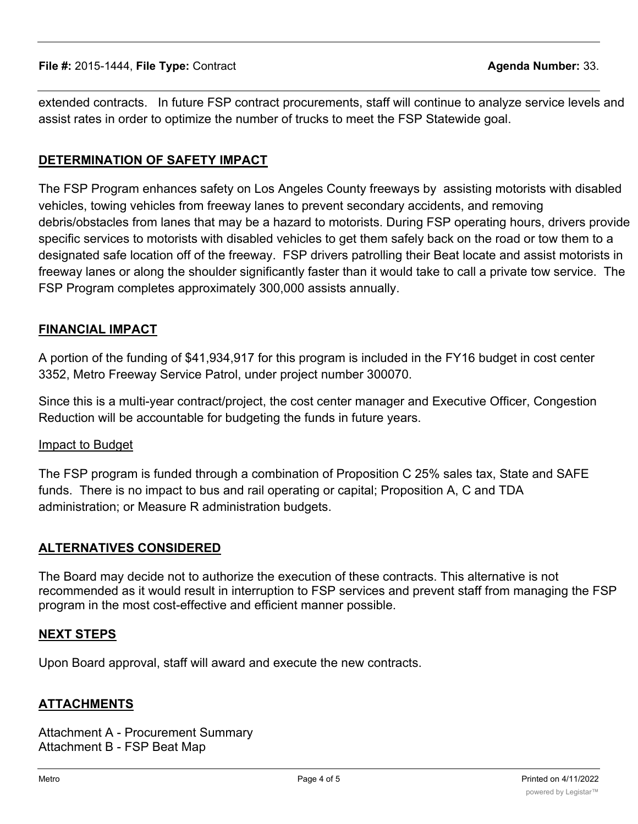extended contracts. In future FSP contract procurements, staff will continue to analyze service levels and assist rates in order to optimize the number of trucks to meet the FSP Statewide goal.

# **DETERMINATION OF SAFETY IMPACT**

The FSP Program enhances safety on Los Angeles County freeways by assisting motorists with disabled vehicles, towing vehicles from freeway lanes to prevent secondary accidents, and removing debris/obstacles from lanes that may be a hazard to motorists. During FSP operating hours, drivers provide specific services to motorists with disabled vehicles to get them safely back on the road or tow them to a designated safe location off of the freeway. FSP drivers patrolling their Beat locate and assist motorists in freeway lanes or along the shoulder significantly faster than it would take to call a private tow service. The FSP Program completes approximately 300,000 assists annually.

## **FINANCIAL IMPACT**

A portion of the funding of \$41,934,917 for this program is included in the FY16 budget in cost center 3352, Metro Freeway Service Patrol, under project number 300070.

Since this is a multi-year contract/project, the cost center manager and Executive Officer, Congestion Reduction will be accountable for budgeting the funds in future years.

## Impact to Budget

The FSP program is funded through a combination of Proposition C 25% sales tax, State and SAFE funds. There is no impact to bus and rail operating or capital; Proposition A, C and TDA administration; or Measure R administration budgets.

## **ALTERNATIVES CONSIDERED**

The Board may decide not to authorize the execution of these contracts. This alternative is not recommended as it would result in interruption to FSP services and prevent staff from managing the FSP program in the most cost-effective and efficient manner possible.

## **NEXT STEPS**

Upon Board approval, staff will award and execute the new contracts.

## **ATTACHMENTS**

Attachment A - Procurement Summary Attachment B - FSP Beat Map